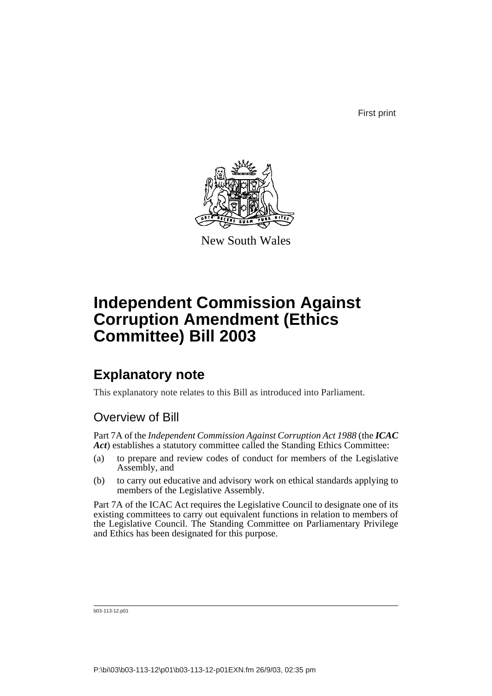First print



New South Wales

# **Independent Commission Against Corruption Amendment (Ethics Committee) Bill 2003**

### **Explanatory note**

This explanatory note relates to this Bill as introduced into Parliament.

### Overview of Bill

Part 7A of the *Independent Commission Against Corruption Act 1988* (the *ICAC Act*) establishes a statutory committee called the Standing Ethics Committee:

- (a) to prepare and review codes of conduct for members of the Legislative Assembly, and
- (b) to carry out educative and advisory work on ethical standards applying to members of the Legislative Assembly.

Part 7A of the ICAC Act requires the Legislative Council to designate one of its existing committees to carry out equivalent functions in relation to members of the Legislative Council. The Standing Committee on Parliamentary Privilege and Ethics has been designated for this purpose.

b03-113-12.p01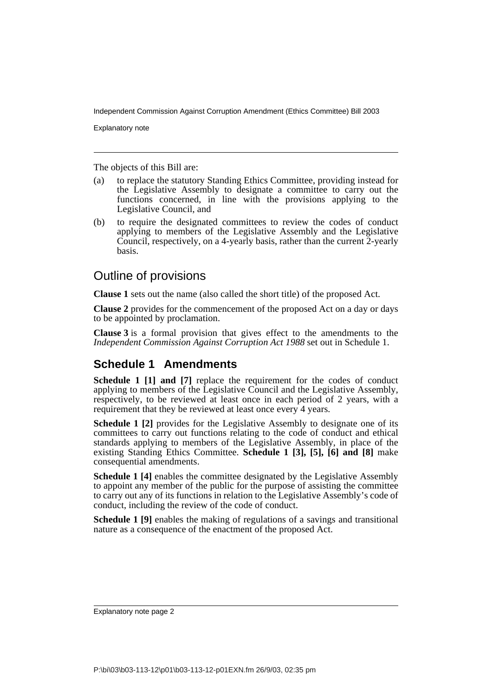Independent Commission Against Corruption Amendment (Ethics Committee) Bill 2003

Explanatory note

The objects of this Bill are:

- (a) to replace the statutory Standing Ethics Committee, providing instead for the Legislative Assembly to designate a committee to carry out the functions concerned, in line with the provisions applying to the Legislative Council, and
- (b) to require the designated committees to review the codes of conduct applying to members of the Legislative Assembly and the Legislative Council, respectively, on a 4-yearly basis, rather than the current 2-yearly basis.

### Outline of provisions

**Clause 1** sets out the name (also called the short title) of the proposed Act.

**Clause 2** provides for the commencement of the proposed Act on a day or days to be appointed by proclamation.

**Clause 3** is a formal provision that gives effect to the amendments to the *Independent Commission Against Corruption Act 1988* set out in Schedule 1.

#### **Schedule 1 Amendments**

**Schedule 1 [1] and [7]** replace the requirement for the codes of conduct applying to members of the Legislative Council and the Legislative Assembly, respectively, to be reviewed at least once in each period of 2 years, with a requirement that they be reviewed at least once every 4 years.

**Schedule 1 [2]** provides for the Legislative Assembly to designate one of its committees to carry out functions relating to the code of conduct and ethical standards applying to members of the Legislative Assembly, in place of the existing Standing Ethics Committee. **Schedule 1 [3], [5], [6] and [8]** make consequential amendments.

**Schedule 1 [4]** enables the committee designated by the Legislative Assembly to appoint any member of the public for the purpose of assisting the committee to carry out any of its functions in relation to the Legislative Assembly's code of conduct, including the review of the code of conduct.

**Schedule 1 [9]** enables the making of regulations of a savings and transitional nature as a consequence of the enactment of the proposed Act.

Explanatory note page 2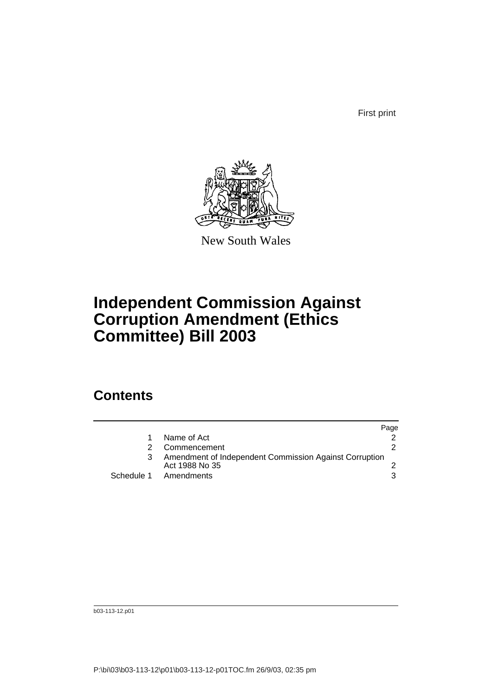First print



New South Wales

## **Independent Commission Against Corruption Amendment (Ethics Committee) Bill 2003**

### **Contents**

|            |                                                                          | Page |
|------------|--------------------------------------------------------------------------|------|
|            | Name of Act                                                              |      |
|            | Commencement                                                             |      |
|            | Amendment of Independent Commission Against Corruption<br>Act 1988 No 35 |      |
| Schedule 1 | Amendments                                                               |      |
|            |                                                                          |      |

b03-113-12.p01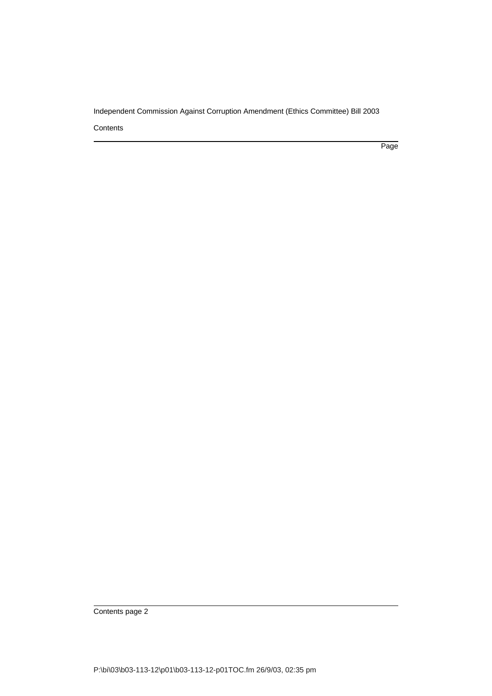#### Independent Commission Against Corruption Amendment (Ethics Committee) Bill 2003

**Contents** 

Page

Contents page 2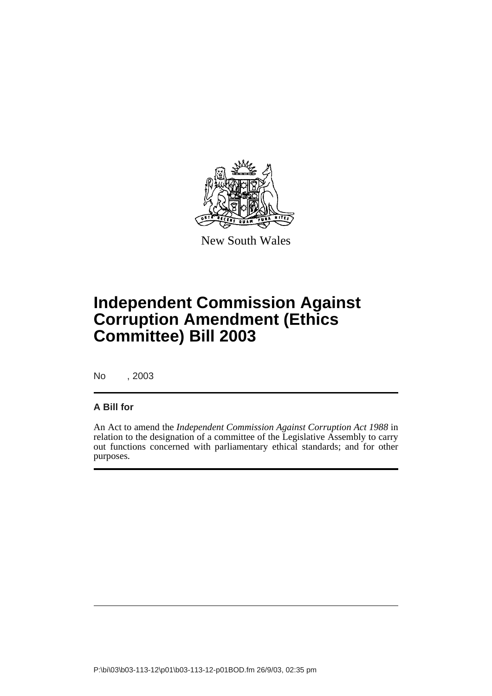

New South Wales

# **Independent Commission Against Corruption Amendment (Ethics Committee) Bill 2003**

No , 2003

#### **A Bill for**

An Act to amend the *Independent Commission Against Corruption Act 1988* in relation to the designation of a committee of the Legislative Assembly to carry out functions concerned with parliamentary ethical standards; and for other purposes.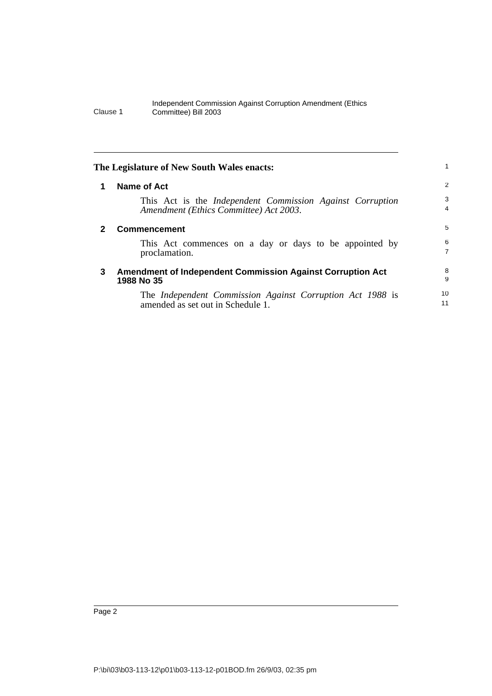|              | The Legislature of New South Wales enacts:                                                                 |                                       |
|--------------|------------------------------------------------------------------------------------------------------------|---------------------------------------|
| 1            | Name of Act                                                                                                | 2                                     |
|              | This Act is the <i>Independent Commission Against Corruption</i><br>Amendment (Ethics Committee) Act 2003. | 3<br>4                                |
| $\mathbf{2}$ | <b>Commencement</b>                                                                                        | 5                                     |
|              | This Act commences on a day or days to be appointed by<br>proclamation.                                    | 6<br>7                                |
| 3            | <b>Amendment of Independent Commission Against Corruption Act</b><br>1988 No 35                            | $\begin{array}{c} 8 \\ 9 \end{array}$ |
|              | The Independent Commission Against Corruption Act 1988 is<br>amended as set out in Schedule 1.             | 10<br>11                              |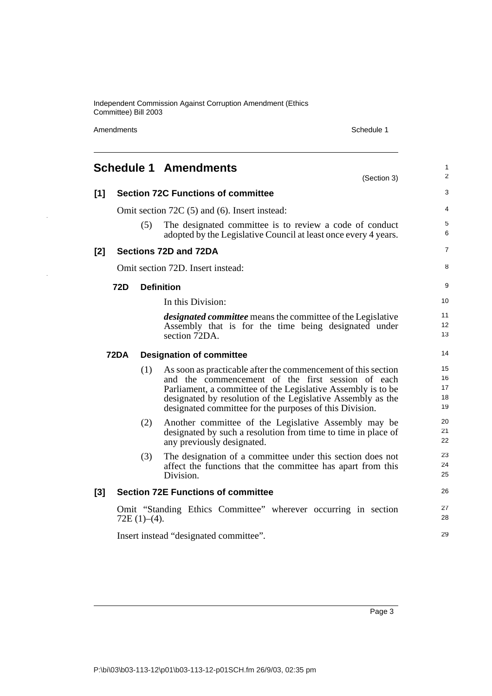Independent Commission Against Corruption Amendment (Ethics Committee) Bill 2003

Amendments Schedule 1

l,

J

|       |                                                                                  |     | <b>Schedule 1 Amendments</b>                                                                                               | $\mathbf{1}$    |  |
|-------|----------------------------------------------------------------------------------|-----|----------------------------------------------------------------------------------------------------------------------------|-----------------|--|
|       |                                                                                  |     | (Section 3)                                                                                                                | $\overline{2}$  |  |
| $[1]$ | <b>Section 72C Functions of committee</b>                                        |     |                                                                                                                            | 3               |  |
|       |                                                                                  |     | Omit section 72C (5) and (6). Insert instead:                                                                              | 4               |  |
|       |                                                                                  | (5) | The designated committee is to review a code of conduct<br>adopted by the Legislative Council at least once every 4 years. | $\sqrt{5}$<br>6 |  |
| $[2]$ |                                                                                  |     | Sections 72D and 72DA                                                                                                      | $\overline{7}$  |  |
|       | Omit section 72D. Insert instead:                                                |     |                                                                                                                            |                 |  |
|       | 72D                                                                              |     | <b>Definition</b>                                                                                                          | 9               |  |
|       |                                                                                  |     | In this Division:                                                                                                          | 10              |  |
|       |                                                                                  |     | <i>designated committee</i> means the committee of the Legislative                                                         | 11<br>12        |  |
|       |                                                                                  |     | Assembly that is for the time being designated under<br>section 72DA.                                                      | 13              |  |
|       | 72DA<br><b>Designation of committee</b>                                          |     |                                                                                                                            |                 |  |
|       |                                                                                  | (1) | As soon as practicable after the commencement of this section                                                              | 15<br>16        |  |
|       |                                                                                  |     | and the commencement of the first session of each<br>Parliament, a committee of the Legislative Assembly is to be          | 17              |  |
|       |                                                                                  |     | designated by resolution of the Legislative Assembly as the<br>designated committee for the purposes of this Division.     | 18<br>19        |  |
|       |                                                                                  | (2) | Another committee of the Legislative Assembly may be                                                                       | 20              |  |
|       |                                                                                  |     | designated by such a resolution from time to time in place of<br>any previously designated.                                | 21<br>22        |  |
|       |                                                                                  | (3) | The designation of a committee under this section does not                                                                 | 23<br>24        |  |
|       |                                                                                  |     | affect the functions that the committee has apart from this<br>Division.                                                   | 25              |  |
| $[3]$ |                                                                                  |     | <b>Section 72E Functions of committee</b>                                                                                  | 26              |  |
|       | Omit "Standing Ethics Committee" wherever occurring in section<br>$72E(1)–(4)$ . |     |                                                                                                                            |                 |  |
|       | Insert instead "designated committee".                                           |     |                                                                                                                            |                 |  |

Page 3